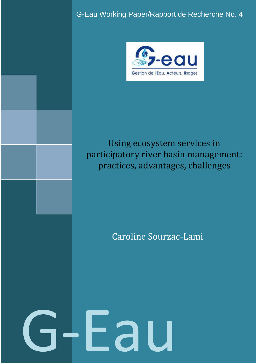G-Eau Working Paper/Rapport de Recherche No. 4



# Using ecosystem services in participatory river basin management: practices, advantages, challenges

# Caroline Sourzac-Lami

G-Eau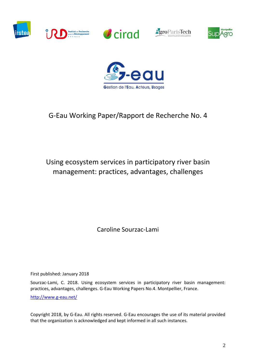











# G-Eau Working Paper/Rapport de Recherche No. 4

# Using ecosystem services in participatory river basin management: practices, advantages, challenges

Caroline Sourzac-Lami

First published: January 2018

Sourzac-Lami, C. 2018. Using ecosystem services in participatory river basin management: practices, advantages, challenges. G-Eau Working Papers No.4. Montpellier, France.

<http://www.g-eau.net/>

Copyright 2018, by G-Eau. All rights reserved. G-Eau encourages the use of its material provided that the organization is acknowledged and kept informed in all such instances.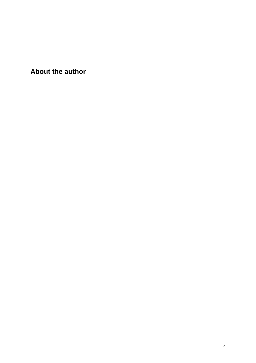**About the author**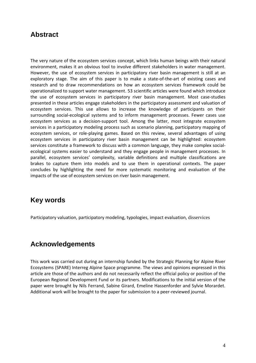## **Abstract**

The very nature of the ecosystem services concept, which links human beings with their natural environment, makes it an obvious tool to involve different stakeholders in water management. However, the use of ecosystem services in participatory river basin management is still at an exploratory stage. The aim of this paper is to make a state-of-the-art of existing cases and research and to draw recommendations on how an ecosystem services framework could be operationalized to support water management. 53 scientific articles were found which introduce the use of ecosystem services in participatory river basin management. Most case-studies presented in these articles engage stakeholders in the participatory assessment and valuation of ecosystem services. This use allows to increase the knowledge of participants on their surrounding social-ecological systems and to inform management processes. Fewer cases use ecosystem services as a decision-support tool. Among the latter, most integrate ecosystem services in a participatory modeling process such as scenario planning, participatory mapping of ecosystem services, or role-playing games. Based on this review, several advantages of using ecosystem services in participatory river basin management can be highlighted: ecosystem services constitute a framework to discuss with a common language, they make complex socialecological systems easier to understand and they engage people in management processes. In parallel, ecosystem services' complexity, variable definitions and multiple classifications are brakes to capture them into models and to use them in operational contexts. The paper concludes by highlighting the need for more systematic monitoring and evaluation of the impacts of the use of ecosystem services on river basin management.

## **Key words**

Participatory valuation, participatory modeling, typologies, impact evaluation, disservices

## **Acknowledgements**

This work was carried out during an internship funded by the Strategic Planning for Alpine River Ecosystems (SPARE) Interreg Alpine Space programme. The views and opinions expressed in this article are those of the authors and do not necessarily reflect the official policy or position of the European Regional Development Fund or its partners. Modifications to the initial version of the paper were brought by Nils Ferrand, Sabine Girard, Emeline Hassenforder and Sylvie Morardet. Additional work will be brought to the paper for submission to a peer-reviewed journal.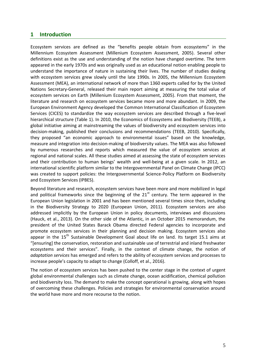## **1 Introduction**

Ecosystem services are defined as the "benefits people obtain from ecosystems" in the Millennium Ecosystem Assessment (Millenium Ecosystem Assessment, 2005). Several other definitions exist as the use and understanding of the notion have changed overtime. The term appeared in the early 1970s and was originally used as an educational notion enabling people to understand the importance of nature in sustaining their lives. The number of studies dealing with ecosystem services grew slowly until the late 1990s. In 2005, the Millennium Ecosystem Assessment (MEA), an international network of more than 1360 experts called for by the United Nations Secretary-General, released their main report aiming at measuring the total value of ecosystem services on Earth (Millenium Ecosystem Assessment, 2005). From that moment, the literature and research on ecosystem services became more and more abundant. In 2009, the European Environment Agency developed the Common International Classification of Ecosystem Services (CICES) to standardize the way ecosystem services are described through a five-level hierarchical structure [\(Table 1\)](#page-5-0). In 2010, the Economics of Ecosystems and Biodiversity (TEEB), a global initiative aiming at mainstreaming the values of biodiversity and ecosystem services into decision-making, published their conclusions and recommendations (TEEB, 2010). Specifically, they proposed "an economic approach to environmental issues" based on the knowledge, measure and integration into decision-making of biodiversity values. The MEA was also followed by numerous researches and reports which measured the value of ecosystem services at regional and national scales. All these studies aimed at assessing the state of ecosystem services and their contribution to human beings' wealth and well-being at a given scale. In 2012, an international scientific platform similar to the Intergovernmental Panel on Climate Change (IPCC) was created to support policies: the Intergovernmental Science-Policy Platform on Biodiversity and Ecosystem Services (IPBES).

Beyond literature and research, ecosystem services have been more and more mobilized in legal and political frameworks since the beginning of the  $21<sup>st</sup>$  century. The term appeared in the European Union legislation in 2001 and has been mentioned several times since then, including in the Biodiversity Strategy to 2020 (European Union, 2011). Ecosystem services are also addressed implicitly by the European Union in policy documents, interviews and discussions (Hauck, et al., 2013). On the other side of the Atlantic, in an October 2015 memorandum, the president of the United States Barack Obama directed Federal agencies to incorporate and promote ecosystem services in their planning and decision making. Ecosystem services also appear in the  $15<sup>th</sup>$  Sustainable Development Goal about life on land. Its target 15.1 aims at "[ensuring] the conservation, restoration and sustainable use of terrestrial and inland freshwater ecosystems and their services". Finally, in the context of climate change, the notion of *adaptation services* has emerged and refers to the ability of ecosystem services and processes to increase people's capacity to adapt to change (Colloff, et al., 2016).

The notion of ecosystem services has been pushed to the center stage in the context of urgent global environmental challenges such as climate change, ocean acidification, chemical pollution and biodiversity loss. The demand to make the concept operational is growing, along with hopes of overcoming these challenges. Policies and strategies for environmental conservation around the world have more and more recourse to the notion.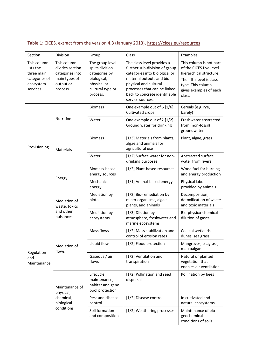| Section                                                                          | Division                                                                                    | Group                                                                                                             | Class                                                                                                                                                                                                                                   | Examples                                                                                                                                                           |
|----------------------------------------------------------------------------------|---------------------------------------------------------------------------------------------|-------------------------------------------------------------------------------------------------------------------|-----------------------------------------------------------------------------------------------------------------------------------------------------------------------------------------------------------------------------------------|--------------------------------------------------------------------------------------------------------------------------------------------------------------------|
| This column<br>lists the<br>three main<br>categories of<br>ecosystem<br>services | This column<br>divides section<br>categories into<br>main types of<br>output or<br>process. | The group level<br>splits division<br>categories by<br>biological,<br>physical or<br>cultural type or<br>process. | The class level provides a<br>further sub-division of group<br>categories into biological or<br>material outputs and bio-<br>physical and cultural<br>processes that can be linked<br>back to concrete identifiable<br>service sources. | This column is not part<br>of the CICES five-level<br>hierarchical structure.<br>The fifth level is class<br>type. This column<br>gives examples of each<br>class. |
| Provisioning                                                                     | Nutrition                                                                                   | <b>Biomass</b>                                                                                                    | One example out of 6 [1/6]:<br>Cultivated crops                                                                                                                                                                                         | Cereals (e.g. rye,<br>barely)                                                                                                                                      |
|                                                                                  |                                                                                             | Water                                                                                                             | One example out of 2 [1/2]:<br>Ground water for drinking                                                                                                                                                                                | Freshwater abstracted<br>from (non-fossil)<br>groundwater                                                                                                          |
|                                                                                  | <b>Materials</b>                                                                            | <b>Biomass</b>                                                                                                    | [1/3] Materials from plants,<br>algae and animals for<br>agricultural use                                                                                                                                                               | Plant, algae, grass                                                                                                                                                |
|                                                                                  |                                                                                             | Water                                                                                                             | [1/2] Surface water for non-<br>drinking purposes                                                                                                                                                                                       | Abstracted surface<br>water from rivers                                                                                                                            |
|                                                                                  | Energy                                                                                      | Biomass-based<br>energy sources                                                                                   | [1/2] Plant-based resources                                                                                                                                                                                                             | Wood fuel for burning<br>and energy production                                                                                                                     |
|                                                                                  |                                                                                             | Mechanical<br>energy                                                                                              | [1/1] Animal-based energy                                                                                                                                                                                                               | Physical labor<br>provided by animals                                                                                                                              |
| Regulation<br>and<br>Maintenance                                                 | Mediation of<br>waste, toxics<br>and other<br>nuisances                                     | Mediation by<br>biota                                                                                             | [1/2] Bio-remediation by<br>micro-organisms, algae,<br>plants, and animals                                                                                                                                                              | Decomposition,<br>detoxification of waste<br>and toxic materials                                                                                                   |
|                                                                                  |                                                                                             | Mediation by<br>ecosystems                                                                                        | [1/3] Dilution by<br>atmosphere, freshwater and<br>marine ecosystems                                                                                                                                                                    | Bio-physico-chemical<br>dilution of gases                                                                                                                          |
|                                                                                  | Mediation of<br>flows                                                                       | Mass flows                                                                                                        | [1/2] Mass stabilization and<br>control of erosion rates                                                                                                                                                                                | Coastal wetlands,<br>dunes, sea grass                                                                                                                              |
|                                                                                  |                                                                                             | Liquid flows                                                                                                      | [1/2] Flood protection                                                                                                                                                                                                                  | Mangroves, seagrass,<br>macroalgae                                                                                                                                 |
|                                                                                  |                                                                                             | Gaseous / air<br>flows                                                                                            | [1/2] Ventilation and<br>transpiration                                                                                                                                                                                                  | Natural or planted<br>vegetation that<br>enables air ventilation                                                                                                   |
|                                                                                  | Maintenance of<br>physical,<br>chemical,<br>biological<br>conditions                        | Lifecycle<br>maintenance,<br>habitat and gene<br>pool protection                                                  | [1/2] Pollination and seed<br>dispersal                                                                                                                                                                                                 | Pollination by bees                                                                                                                                                |
|                                                                                  |                                                                                             | Pest and disease<br>control                                                                                       | [1/2] Disease control                                                                                                                                                                                                                   | In cultivated and<br>natural ecosystems                                                                                                                            |
|                                                                                  |                                                                                             | Soil formation<br>and composition                                                                                 | [1/2] Weathering processes                                                                                                                                                                                                              | Maintenance of bio-<br>geochemical<br>conditions of soils                                                                                                          |

## <span id="page-5-0"></span>Table 1: CICES, extract from the version 4.3 (January 2013),<https://cices.eu/resources>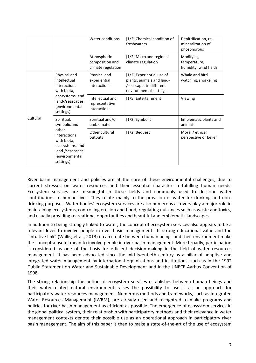|          |                                                                                                                                         | Water conditions                                     | [1/2] Chemical condition of<br>freshwaters                                                                  | Denitrification, re-<br>mineralization of<br>phosphorous |
|----------|-----------------------------------------------------------------------------------------------------------------------------------------|------------------------------------------------------|-------------------------------------------------------------------------------------------------------------|----------------------------------------------------------|
|          |                                                                                                                                         | Atmospheric<br>composition and<br>climate regulation | [1/2] Micro and regional<br>climate regulation                                                              | Modifying<br>temperature,<br>humidity, wind fields       |
| Cultural | Physical and<br>intellectual<br>interactions<br>with biota,<br>ecosystems, and<br>land-/seascapes<br>(environmental<br>settings)        | Physical and<br>experiential<br>interactions         | [1/2] Experiential use of<br>plants, animals and land-<br>/seascapes in different<br>environmental settings | Whale and bird<br>watching, snorkeling                   |
|          |                                                                                                                                         | Intellectual and<br>representative<br>interactions   | [1/5] Entertainment                                                                                         | Viewing                                                  |
|          | Spiritual,<br>symbolic and<br>other<br>interactions<br>with biota,<br>ecosystems, and<br>land-/seascapes<br>(environmental<br>settings) | Spiritual and/or<br>emblematic                       | [1/2] Symbolic                                                                                              | Emblematic plants and<br>animals                         |
|          |                                                                                                                                         | Other cultural<br>outputs                            | $[1/2]$ Bequest                                                                                             | Moral / ethical<br>perspective or belief                 |

River basin management and policies are at the core of these environmental challenges, due to current stresses on water resources and their essential character in fulfilling human needs. Ecosystem services are meaningful in these fields and commonly used to describe water contributions to human lives. They relate mainly to the provision of water for drinking and nondrinking purposes. Water bodies' ecosystem services are also numerous as rivers play a major role in maintaining ecosystems, controlling erosion and flood, regulating nuisances such as waste and toxics, and usually providing recreational opportunities and beautiful and emblematic landscapes.

In addition to being strongly linked to water, the concept of ecosystem services also appears to be a relevant lever to involve people in river basin management. Its strong educational value and the "intuitive link" (Wallis, et al., 2013) it can create between human beings and their environment make the concept a useful mean to involve people in river basin management. More broadly, participation is considered as one of the basis for efficient decision-making in the field of water resources management. It has been advocated since the mid-twentieth century as a pillar of adaptive and integrated water management by international organizations and institutions, such as in the 1992 Dublin Statement on Water and Sustainable Development and in the UNECE Aarhus Convention of 1998.

The strong relationship the notion of ecosystem services establishes between human beings and their water-related natural environment raises the possibility to use it as an approach for participatory water resources management. Numerous methods and frameworks, such as Integrated Water Resources Management (IWRM), are already used and recognized to make programs and policies for river basin management as efficient as possible. The emergence of ecosystem services in the global political system, their relationship with participatory methods and their relevance in water management contexts denote their possible use as an operational approach in participatory river basin management. The aim of this paper is then to make a state-of-the-art of the use of ecosystem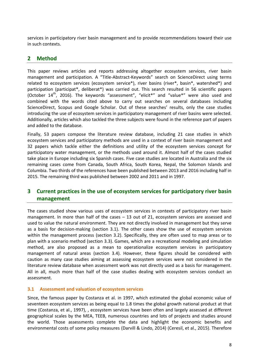services in participatory river basin management and to provide recommendations toward their use in such contexts.

## **2 Method**

This paper reviews articles and reports addressing altogether ecosystem services, river basin management and participation. A "Title-Abstract-Keywords" search on ScienceDirect using terms related to ecosystem services (ecosystem service\*), river basins (river\*, basin\*, watershed\*) and participation (participat\*, deliberat\*) was carried out. This search resulted in 56 scientific papers (October  $14^{th}$ , 2016). The keywords "assessment", "elicit\*" and "value\*" were also used and combined with the words cited above to carry out searches on several databases including ScienceDirect, Scopus and Google Scholar. Out of these searches' results, only the case studies introducing the use of ecosystem services in participatory management of river basins were selected. Additionally, articles which also tackled the three subjects were found in the reference part of papers and added to the database.

Finally, 53 papers compose the literature review database, including 21 case studies in which ecosystem services and participatory methods are used in a context of river basin management and 32 papers which tackle either the definitions and utility of the ecosystem services concept for participatory water management, or the methods used around it. Almost half of the cases studied take place in Europe including six Spanish cases. Five case studies are located in Australia and the six remaining cases come from Canada, South Africa, South Korea, Nepal, the Solomon Islands and Columbia. Two thirds of the references have been published between 2013 and 2016 including half in 2015. The remaining third was published between 2002 and 2011 and in 1997.

## **3 Current practices in the use of ecosystem services for participatory river basin management**

The cases studied show various uses of ecosystem services in contexts of participatory river basin management. In more than half of the cases – 13 out of 21, ecosystem services are assessed and used to value the natural environment. They are not directly involved in management but they serve as a basis for decision-making (section [3.1\)](#page-7-0). The other cases show the use of ecosystem services within the management process (section [3.2\)](#page-8-0). Specifically, they are often used to map areas or to plan with a scenario method (section [3.3\)](#page-9-0). Games, which are a recreational modeling and simulation method, are also proposed as a mean to operationalize ecosystem services in participatory management of natural areas (section [3.4\)](#page-10-0). However, these figures should be considered with caution as many case studies aiming at assessing ecosystem services were not considered in the literature review database when assessment work was not directly used as a basis for management. All in all, much more than half of the case studies dealing with ecosystem services conduct an assessment.

## <span id="page-7-0"></span>**3.1 Assessment and valuation of ecosystem services**

Since, the famous paper by Costanza et al. in 1997, which estimated the global economic value of seventeen ecosystem services as being equal to 1.8 times the global growth national product at that time (Costanza, et al., 1997), , ecosystem services have been often and largely assessed at different geographical scales by the MEA, TEEB, numerous countries and lots of projects and studies around the world. Those assessments complete the data and highlight the economic benefits and environmental costs of some policy measures (Darvill & Lindo, 2014) (Ceresil, et al., 2015). Therefore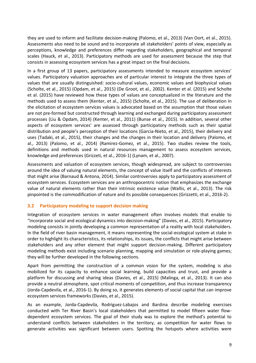they are used to inform and facilitate decision-making (Palomo, et al., 2013) (Van Oort, et al., 2015). Assessments also need to be sound and to incorporate all stakeholders' points of view, especially as perceptions, knowledge and preferences differ regarding stakeholders, geographical and temporal scales (Hauck, et al., 2013). Participatory methods are used for assessment because the step that consists in assessing ecosystem services has a great impact on the final decisions.

In a first group of 13 papers, participatory assessments intended to measure ecosystem services' values. Participatory valuation approaches are of particular interest to integrate the three types of values that are usually distinguished: socio-cultural values, economic values and biophysical values (Scholte, et al., 2015) (Opdam, et al., 2015) (De Groot, et al., 2002). Kenter et al. (2015) and Scholte et al. (2015) have reviewed how these types of values are conceptualized in the literature and the methods used to assess them (Kenter, et al., 2015) (Scholte, et al., 2015). The use of deliberation in the elicitation of ecosystem services values is advocated based on the assumption that those values are not pre-formed but constructed through learning and exchanged during participatory assessment processes (Liu & Opdam, 2014) (Kenter, et al., 2011) (Bunse et al., 2015). In addition, several other aspects of ecosystem services' are assessed through participatory methods such as their spatial distribution and people's perception of their locations (Garcia-Nieto, et al., 2015), their delivery and uses (Tadaki, et al., 2015), their changes and the changes in their location and delivery (Palomo, et al., 2013) (Palomo, et al., 2014) (Ramirez-Gomez, et al., 2015). Two studies review the tools, definitions and methods used in natural resources management to assess ecosystem services, knowledge and preferences (Grizzeti, et al., 2016-1) (Lynam, et al., 2007).

Assessments and valuation of ecosystem services, though widespread, are subject to controversies around the idea of valuing natural elements, the concept of value itself and the conflicts of interests that might arise (Barnaud & Antona, 2014). Similar controversies apply to participatory assessment of ecosystem services. Ecosystem services are an anthropocentric notion that emphasizes the exchange value of natural elements rather than their intrinsic existence value (Wallis, et al., 2013). The risk pinpointed is the commodification of nature and its possible consequences (Grizzetti, et al., 2016-2).

## <span id="page-8-0"></span>**3.2 Participatory modeling to support decision making**

Integration of ecosystem services in water management often involves models that enable to "incorporate social and ecological dynamics into decision-making" (Davies, et al., 2015). Participatory modeling consists in jointly developing a common representation of a reality with local stakeholders. In the field of river basin management, it means representing the social-ecological system at stake in order to highlight its characteristics, its relationships, its issues, the conflicts that might arise between stakeholders and any other element that might support decision-making. Different participatory modeling methods exist including scenario planning, mapping and simulation or role-playing games; they will be further developed in the following sections.

Apart from permitting the construction of a common vision for the system, modeling is also mobilized for its capacity to enhance social learning, build capacities and trust, and provide a platform for discussing and sharing ideas (Davies, et al., 2015) (Malinga, et al., 2013). It can also provide a neutral atmosphere, spot critical moments of competition, and thus increase transparency (Jorda-Capdevila, et al., 2016-1). By doing so, it generates elements of social capital that can improve ecosystem services frameworks (Davies, et al., 2015).

As an example, Jorda-Capdevila, Rodriguez-Labajos and Bardina describe modeling exercises conducted with Ter River Basin's local stakeholders that permitted to model fifteen water flowdependent ecosystem services. The goal of their study was to explore the method's potential to understand conflicts between stakeholders in the territory, as competition for water flows to generate activities was significant between users. Spotting the hotspots where activities were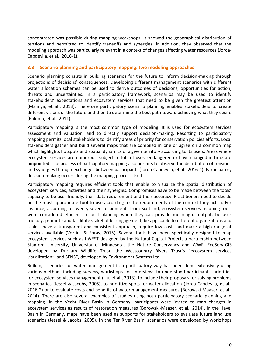concentrated was possible during mapping workshops. It showed the geographical distribution of tensions and permitted to identify tradeoffs and synergies. In addition, they observed that the modeling approach was particularly relevant in a context of changes affecting water resources (Jorda-Capdevila, et al., 2016-1).

### <span id="page-9-0"></span>**3.3 Scenario planning and participatory mapping: two modeling approaches**

Scenario planning consists in building scenarios for the future to inform decision-making through projections of decisions' consequences. Developing different management scenarios with different water allocation schemes can be used to derive outcomes of decisions, opportunities for action, threats and uncertainties. In a participatory framework, scenarios may be used to identify stakeholders' expectations and ecosystem services that need to be given the greatest attention (Malinga, et al., 2013). Therefore participatory scenario planning enables stakeholders to create different visions of the future and then to determine the best path toward achieving what they desire (Palomo, et al., 2011).

Participatory mapping is the most common type of modeling. It is used for ecosystem services assessment and valuation, and to directly support decision-making. Resorting to participatory mapping permits local stakeholders to identify areas of priority for conservation policies efforts. Local stakeholders gather and build several maps that are compiled in one or agree on a common map which highlights hotspots and spatial dynamics of a given territory according to its users. Areas where ecosystem services are numerous, subject to lots of uses, endangered or have changed in time are pinpointed. The process of participatory mapping also permits to observe the distribution of tensions and synergies through exchanges between participants (Jorda-Capdevila, et al., 2016-1). Participatory decision-making occurs during the mapping process itself.

Participatory mapping requires efficient tools that enable to visualize the spatial distribution of ecosystem services, activities and their synergies. Compromises have to be made between the tools' capacity to be user friendly, their data requirement and their accuracy. Practitioners need to decide on the most appropriate tool to use according to the requirements of the context they act in. For instance, according to twenty-seven respondents from Scotland, ecosystem services mapping tools were considered efficient in local planning when they can provide meaningful output, be user friendly, promote and facilitate stakeholder engagement, be applicable to different organizations and scales, have a transparent and consistent approach, require low costs and make a high range of services available (Vortius & Spray, 2015). Several tools have been specifically designed to map ecosystem services such as InVEST designed by the Natural Capital Project, a partnership between Stanford University, University of Minnesota, the Nature Conservancy and WWF, EcoServ-GIS developed by Durham Wildlife Trust, the Westcountry Rivers Trust's "ecosystem services visualization", and SENSE, developed by Environment Systems Ltd.

Building scenarios for water management in a participatory way has been done extensively using various methods including surveys, workshops and interviews to understand participants' priorities for ecosystem services management (Liu, et al., 2013), to include their proposals for solving problems in scenarios (Jessel & Jacobs, 2005), to prioritize spots for water allocation (Jorda-Capdevila, et al., 2016-2) or to evaluate costs and benefits of water management measures (Borowski-Maaser, et al., 2014). There are also several examples of studies using both participatory scenario planning and mapping. In the Vecht River Basin in Germany, participants were invited to map changes in ecosystem services as results of restoration measures (Borowski-Maaser, et al., 2014). In the Havel Basin in Germany, maps have been used as supports for stakeholders to evaluate future land use scenarios (Jessel & Jacobs, 2005). In the Ter River Basin, scenarios were developed by workshops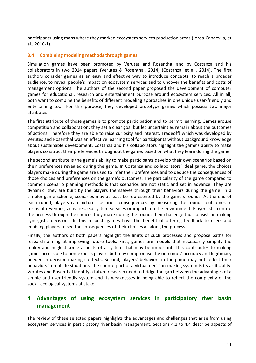participants using maps where they marked ecosystem services production areas (Jorda-Capdevila, et al., 2016-1).

## <span id="page-10-0"></span>**3.4 Combining modeling methods through games**

Simulation games have been promoted by Verutes and Rosenthal and by Costanza and his collaborators in two 2014 papers (Verutes & Rosenthal, 2014) (Costanza, et al., 2014). The first authors consider games as an easy and effective way to introduce concepts, to reach a broader audience, to reveal people's impact on ecosystem services and to uncover the benefits and costs of management options. The authors of the second paper proposed the development of computer games for educational, research and entertainment purpose around ecosystem services. All in all, both want to combine the benefits of different modeling approaches in one unique user-friendly and entertaining tool. For this purpose, they developed prototype games which possess two major attributes.

The first attribute of those games is to promote participation and to permit learning. Games arouse competition and collaboration; they set a clear goal but let uncertainties remain about the outcomes of actions. Therefore they are able to raise curiosity and interest. Tradeoff! which was developed by Verutes and Rosenthal was an effective learning tool for participants without background knowledge about sustainable development. Costanza and his collaborators highlight the game's ability to make players construct their preferences throughout the game, based on what they learn during the game.

The second attribute is the game's ability to make participants develop their own scenarios based on their preferences revealed during the game. In Costanza and collaborators' ideal game, the choices players make during the game are used to infer their preferences and to deduce the consequences of those choices and preferences on the game's outcomes. The particularity of the game compared to common scenario planning methods is that scenarios are not static and set in advance. They are dynamic: they are built by the players themselves through their behaviors during the game. In a simpler game scheme, scenarios may at least be represented by the game's rounds. At the end of each round, players can picture scenarios' consequences by measuring the round's outcomes in terms of revenues, activities, ecosystem services or impacts on the environment. Players still control the process through the choices they make during the round: their challenge thus consists in making synergistic decisions. In this respect, games have the benefit of offering feedback to users and enabling players to see the consequences of their choices all along the process.

Finally, the authors of both papers highlight the limits of such processes and propose paths for research aiming at improving future tools. First, games are models that necessarily simplify the reality and neglect some aspects of a system that may be important. This contributes to making games accessible to non-experts players but may compromise the outcomes' accuracy and legitimacy needed in decision-making contexts. Second, players' behaviors in the game may not reflect their behaviors in real life situations: the counterpart of a virtual decision-making system is its artificiality. Verutes and Rosenthal identify a future research need to bridge the gap between the advantages of a simple and user-friendly system and its weaknesses in being able to reflect the complexity of the social-ecological systems at stake.

## <span id="page-10-1"></span>**4 Advantages of using ecosystem services in participatory river basin management**

The review of these selected papers highlights the advantages and challenges that arise from using ecosystem services in participatory river basin management. Sections [4.1](#page-11-0) to 4.4 describe aspects of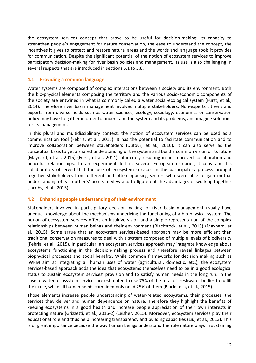the ecosystem services concept that prove to be useful for decision-making: its capacity to strengthen people's engagement for nature conservation, the ease to understand the concept, the incentives it gives to protect and restore natural areas and the words and language tools it provides for communication. Despite the significant potential of the notion of ecosystem services to improve participatory decision-making for river basin policies and management, its use is also challenging in several respects that are introduced in sections [5.1](#page-13-0) to 5.8.

### <span id="page-11-0"></span>**4.1 Providing a common language**

Water systems are composed of complex interactions between a society and its environment. Both the bio-physical elements composing the territory and the various socio-economic components of the society are entwined in what is commonly called a water social-ecological system (Fürst, et al., 2014). Therefore river basin management involves multiple stakeholders. Non-experts citizens and experts from diverse fields such as water sciences, ecology, sociology, economics or conservation policy may have to gather in order to understand the system and its problems, and imagine solutions for its management.

In this plural and multidisciplinary context, the notion of ecosystem services can be used as a communication tool (Febria, et al., 2015). It has the potential to facilitate communication and to improve collaboration between stakeholders (Dufour, et al., 2016). It can also serve as the conceptual basis to get a shared understanding of the system and build a common vision of its future (Maynard, et al., 2015) (Fürst, et al., 2014), ultimately resulting in an improved collaboration and peaceful relationships. In an experiment led in several European estuaries, Jacobs and his collaborators observed that the use of ecosystem services in the participatory process brought together stakeholders from different and often opposing sectors who were able to gain mutual understanding of each other's' points of view and to figure out the advantages of working together (Jacobs, et al., 2015).

#### **4.2 Enhancing people understanding of their environment**

Stakeholders involved in participatory decision-making for river basin management usually have unequal knowledge about the mechanisms underlying the functioning of a bio-physical system. The notion of ecosystem services offers an intuitive vision and a simple representation of the complex relationships between human beings and their environment (Blackstock, et al., 2015) (Maynard, et al., 2015). Some argue that an ecosystem services-based approach may be more efficient than traditional conservation measures to deal with a system composed of multiple levels of biodiversity (Febria, et al., 2015). In particular, an ecosystem services approach may integrate knowledge about ecosystems functioning in the decision-making process and therefore reveal linkages between biophysical processes and social benefits. While common frameworks for decision making such as IWRM aim at integrating all human uses of water (agricultural, domestic, etc.), the ecosystem services-based approach adds the idea that ecosystems themselves need to be in a good ecological status to sustain ecosystem services' provision and to satisfy human needs in the long run. In the case of water, ecosystem services are estimated to use 75% of the total of freshwater bodies to fulfill their role, while all human needs combined only need 25% of them (Blackstock, et al., 2015).

Those elements increase people understanding of water-related ecosystems, their processes, the services they deliver and human dependence on nature. Therefore they highlight the benefits of keeping ecosystems in a good health and increase people appreciation of their own interests in protecting nature (Grizzetti, et al., 2016-2) (Leisher, 2015). Moreover, ecosystem services play their educational role and thus help increasing transparency and building capacities (Liu, et al., 2013). This is of great importance because the way human beings understand the role nature plays in sustaining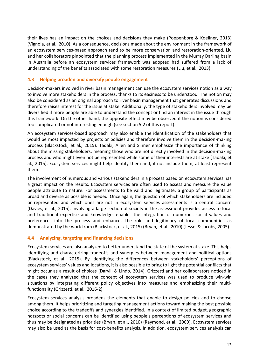their lives has an impact on the choices and decisions they make (Poppenborg & Koellner, 2013) (Vignola, et al., 2010). As a consequence, decisions made about the environment in the framework of an ecosystem services-based approach tend to be more conservation and restoration-oriented. Liu and her collaborators pinpointed that the planning process implemented in the Murray Darling basin in Australia before an ecosystem services framework was adopted had suffered from a lack of understanding of the benefits associated with some restoration measures (Liu, et al., 2013).

## **4.3 Helping broaden and diversify people engagement**

Decision-makers involved in river basin management can use the ecosystem services notion as a way to involve more stakeholders in the process, thanks to its easiness to be understood. The notion may also be considered as an original approach to river basin management that generates discussions and therefore raises interest for the issue at stake. Additionally, the type of stakeholders involved may be diversified if more people are able to understand the concept or find an interest in the issue through this framework. On the other hand, the opposite effect may be observed if the notion is considered too complicated or not interesting enough (see section [5.2](#page-13-1) of this report).

An ecosystem services-based approach may also enable the identification of the stakeholders that would be most impacted by projects or policies and therefore involve them in the decision-making process (Blackstock, et al., 2015). Tadaki, Allen and Sinner emphasize the importance of thinking about the missing stakeholders, meaning those who are not directly involved in the decision-making process and who might even not be represented while some of their interests are at stake (Tadaki, et al., 2015). Ecosystem services might help identify them and, if not include them, at least represent them.

The involvement of numerous and various stakeholders in a process based on ecosystem services has a great impact on the results. Ecosystem services are often used to assess and measure the value people attribute to nature. For assessments to be valid and legitimate, a group of participants as broad and diverse as possible is needed. Once again, the question of which stakeholders are included or represented and which ones are not in ecosystem services assessments is a central concern (Davies, et al., 2015). Involving a large section of society in the assessment provides access to local and traditional expertise and knowledge, enables the integration of numerous social values and preferences into the process and enhances the role and legitimacy of local communities as demonstrated by the work from (Blackstock, et al., 2015) (Bryan, et al., 2010) (Jessel & Jacobs, 2005).

#### **4.4 Analyzing, targeting and financing decisions**

Ecosystem services are also analyzed to better understand the state of the system at stake. This helps identifying and characterizing tradeoffs and synergies between management and political options (Blackstock, et al., 2015). By identifying the differences between stakeholders' perceptions of ecosystem services' values and locations, it is also possible to bring to light the potential conflicts that might occur as a result of choices (Darvill & Lindo, 2014). Grizzetti and her collaborators noticed in the cases they analyzed that the concept of ecosystem services was used to produce win-win situations by integrating different policy objectives into measures and emphasizing their multifunctionality (Grizzetti, et al., 2016-2).

Ecosystem services analysis broadens the elements that enable to design policies and to choose among them. It helps prioritizing and targeting management actions toward making the best possible choice according to the tradeoffs and synergies identified. In a context of limited budget, geographic hotspots or social concerns can be identified using people's perceptions of ecosystem services and thus may be designated as priorities (Bryan, et al., 2010) (Raymond, et al., 2009). Ecosystem services may also be used as the basis for cost-benefits analysis. In addition, ecosystem services analysis can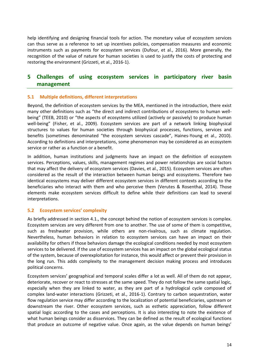help identifying and designing financial tools for action. The monetary value of ecosystem services can thus serve as a reference to set up incentives policies, compensation measures and economic instruments such as payments for ecosystem services (Dufour, et al., 2016). More generally, the recognition of the value of nature for human societies is used to justify the costs of protecting and restoring the environment (Grizzeti, et al., 2016-1).

## **5 Challenges of using ecosystem services in participatory river basin management**

## <span id="page-13-0"></span>**5.1 Multiple definitions, different interpretations**

Beyond, the definition of ecosystem services by the MEA, mentioned in the introduction, there exist many other definitions such as "the direct and indirect contributions of ecosystems to human wellbeing" (TEEB, 2010) or "the aspects of ecosystems utilized (actively or passively) to produce human well-being" (Fisher, et al., 2009). Ecosystem services are part of a network linking biophysical structures to values for human societies through biophysical processes, functions, services and benefits (sometimes denominated "the ecosystem services cascade", Haines-Young et al., 2010). According to definitions and interpretations, some phenomenon may be considered as an ecosystem service or rather as a function or a benefit.

In addition, human institutions and judgments have an impact on the definition of ecosystem services. Perceptions, values, skills, management regimes and power relationships are social factors that may affect the delivery of ecosystem services (Davies, et al., 2015). Ecosystem services are often considered as the result of the interaction between human beings and ecosystems. Therefore two identical ecosystems may deliver different ecosystem services in different contexts according to the beneficiaries who interact with them and who perceive them (Verutes & Rosenthal, 2014). Those elements make ecosystem services difficult to define while their definitions can lead to several interpretations.

#### <span id="page-13-1"></span>**5.2 Ecosystem services' complexity**

As briefly addressed in section 4.1., the concept behind the notion of ecosystem services is complex. Ecosystem services are very different from one to another. The use of some of them is competitive, such as freshwater provision, while others are non-rivalrous, such as climate regulation. Nevertheless, human behaviors in relation to ecosystem services can have an impact on their availability for others if those behaviors damage the ecological conditions needed by most ecosystem services to be delivered. If the use of ecosystem services has an impact on the global ecological status of the system, because of overexploitation for instance, this would affect or prevent their provision in the long run. This adds complexity to the management decision making process and introduces political concerns.

Ecosystem services' geographical and temporal scales differ a lot as well. All of them do not appear, deteriorate, recover or react to stresses at the same speed. They do not follow the same spatial logic, especially when they are linked to water, as they are part of a hydrological cycle composed of complex land-water interactions (Grizzeti, et al., 2016-1). Contrary to carbon sequestration, water flow regulation service may differ according to the localization of potential beneficiaries, upstream or downstream the river. Other ecosystem services, such as esthetic appreciation, follow different spatial logic according to the cases and perceptions. It is also interesting to note the existence of what human beings consider as disservices. They can be defined as the result of ecological functions that produce an outcome of negative value. Once again, as the value depends on human beings'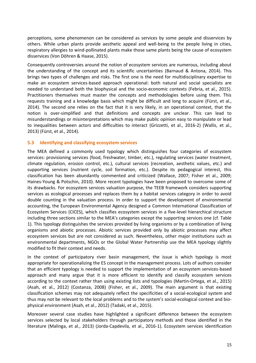perceptions, some phenomenon can be considered as services by some people and disservices by others. While urban plants provide aesthetic appeal and well-being to the people living in cities, respiratory allergies to wind-pollinated plants make those same plants being the cause of ecosystem disservices (Von Döhren & Haase, 2015).

Consequently controversies around the notion of ecosystem services are numerous, including about the understanding of the concept and its scientific uncertainties (Barnaud & Antona, 2014). This brings two types of challenges and risks. The first one is the need for multidisciplinary expertise to make an ecosystem services-based approach operational: both natural and social specialists are needed to understand both the biophysical and the socio-economic contexts (Febria, et al., 2015). Practitioners themselves must master the concepts and methodologies before using them. This requests training and a knowledge basis which might be difficult and long to acquire (Fürst, et al., 2014). The second one relies on the fact that it is very likely, in an operational context, that the notion is over-simplified and that definitions and concepts are unclear. This can lead to misunderstandings or misinterpretations which may make public opinion easy to manipulate or lead to inequalities between actors and difficulties to interact (Grizzetti, et al., 2016-2) (Wallis, et al., 2013) (Fürst, et al., 2014).

#### **5.3 Identifying and classifying ecosystem services**

The MEA defined a commonly used typology which distinguishes four categories of ecosystem services: provisioning services (food, freshwater, timber, etc.), regulating services (water treatment, climate regulation, erosion control, etc.), cultural services (recreation, aesthetic values, etc.) and supporting services (nutrient cycle, soil formation, etc.). Despite its pedagogical interest, this classification has been abundantly commented and criticized (Wallace, 2007; Fisher et al., 2009; Haines-Young & Potschin, 2010). More recent typologies have been proposed to overcome some of its drawbacks. For ecosystem services valuation purpose, the TEEB framework considers supporting services as ecological processes and replaces them by a habitat services category in order to avoid double counting in the valuation process. In order to support the development of environmental accounting, the European Environmental Agency designed a Common International Classification of Ecosystem Services (CICES), which classifies ecosystem services in a five-level hierarchical structure including three sections similar to the MEA's categories except the supporting services one (cf. Table 1). This typology distinguishes the services provided by living organisms or by a combination of living organisms and abiotic processes. Abiotic services provided only by abiotic processes may affect ecosystem services but are not considered as such. Nevertheless, other major institutions such as environmental departments, NGOs or the Global Water Partnership use the MEA typology slightly modified to fit their context and needs.

In the context of participatory river basin management, the issue is which typology is most appropriate for operationalizing the ES concept in the management process. Lots of authors consider that an efficient typology is needed to support the implementation of an ecosystem services-based approach and many argue that it is more efficient to identify and classify ecosystem services according to the context rather than using existing lists and typologies (Martin-Ortega, et al., 2015) (Asah, et al., 2012) (Costanza, 2008) (Fisher, et al., 2009). The main argument is that existing classification schemes may not adequately reflect the specificities of a social-ecological system and thus may not be relevant to the local problems and to the system's social-ecological context and biophysical environment (Asah, et al., 2012) (Tadaki, et al., 2015).

Moreover several case studies have highlighted a significant difference between the ecosystem services selected by local stakeholders through participatory methods and those identified in the literature (Malinga, et al., 2013) (Jorda-Capdevila, et al., 2016-1). Ecosystem services identification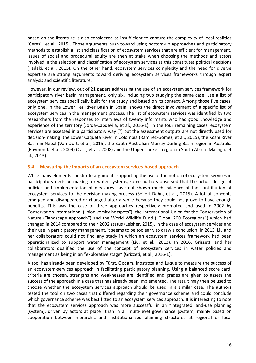based on the literature is also considered as insufficient to capture the complexity of local realities (Ceresil, et al., 2015). Those arguments push toward using bottom-up approaches and participatory methods to establish a list and classification of ecosystem services that are efficient for management. Issues of social and procedural equity are then at stake when choosing the methods and actors involved in the selection and classification of ecosystem services as this constitutes political decisions (Tadaki, et al., 2015). On the other hand, ecosystem services complexity and the need for diverse expertise are strong arguments toward deriving ecosystem services frameworks through expert analysis and scientific literature.

However, in our review, out of 21 papers addressing the use of an ecosystem services framework for participatory river basin management, only six, including two studying the same case, use a list of ecosystem services specifically built for the study and based on its context. Among those five cases, only one, in the Lower Ter River Basin in Spain, shows the direct involvement of a specific list of ecosystem services in the management process. The list of ecosystem services was identified by two researchers from the responses to interviews of twenty informants who had good knowledge and experience of the territory (Jorda-Capdevila, et al., 2016-1). In the four remaining cases, ecosystem services are assessed in a participatory way (?) but the assessment outputs are not directly used for decision-making: the Lower Caqueta River in Colombia (Ramirez-Gomez, et al., 2015), the Koshi River Basin in Nepal (Van Oort, et al., 2015), the South Australian Murray-Darling Basin region in Australia (Raymond, et al., 2009) (Cast, et al., 2008) and the Upper Thukela region in South Africa (Malinga, et al., 2013).

#### **5.4 Measuring the impacts of an ecosystem services-based approach**

While many elements constitute arguments supporting the use of the notion of ecosystem services in participatory decision-making for water systems, some authors observed that the actual design of policies and implementation of measures have not shown much evidence of the contribution of ecosystem services to the decision-making process (Seifert-Dähn, et al., 2015). A lot of concepts emerged and disappeared or changed after a while because they could not prove to have enough benefits. This was the case of three approaches respectively promoted and used in 2002 by Conservation International ("biodiversity hotspots"), the International Union for the Conservation of Nature ("landscape approach") and the World Wildlife Fund ("Global 200 Ecoregions") which had changed in 2014 compared to their 2002 status (Leisher, 2015). In the case of ecosystem services and their use in participatory management, it seems to be too early to draw a conclusion. In 2013, Liu and her collaborators could not find any study in which an ecosystem services framework had been operationalized to support water management (Liu, et al., 2013). In 2016, Grizzetti and her collaborators qualified the use of the concept of ecosystem services in water policies and management as being in an "explorative stage" (Grizzeti, et al., 2016-1).

A tool has already been developed by Fürst, Opdam, Inostroza and Luque to measure the success of an ecosystem-services approach in facilitating participatory planning. Using a balanced score card, criteria are chosen, strengths and weaknesses are identified and grades are given to assess the success of the approach in a case that has already been implemented. The result may then be used to choose whether the ecosystem services approach should be used in a similar case. The authors tested the tool on two cases that differed regarding their governance scheme and could conclude which governance scheme was best fitted to an ecosystem services approach. It is interesting to note that the ecosystem services approach was more successful in an "integrated land-use planning [system], driven by actors at place" than in a "multi-level governance [system] mainly based on cooperation between hierarchic and institutionalized planning structures at regional or local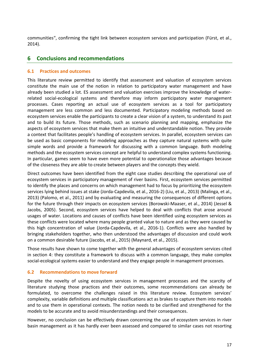communities", confirming the tight link between ecosystem services and participation (Fürst, et al., 2014).

## **6 Conclusions and recommendations**

## **6.1 Practices and outcomes**

This literature review permitted to identify that assessment and valuation of ecosystem services constitute the main use of the notion in relation to participatory water management and have already been studied a lot. ES assessment and valuation exercises improve the knowledge of waterrelated social-ecological systems and therefore may inform participatory water management processes. Cases reporting an actual use of ecosystem services as a tool for participatory management are less common and less documented. Participatory modeling methods based on ecosystem services enable the participants to create a clear vision of a system, to understand its past and to build its future. Those methods, such as scenario planning and mapping, emphasize the aspects of ecosystem services that make them an intuitive and understandable notion. They provide a context that facilitates people's handling of ecosystem services. In parallel, ecosystem services can be used as basic components for modeling approaches as they capture natural systems with quite simple words and provide a framework for discussing with a common language. Both modeling methods and the ecosystem services concept are helpful to understand complex systems functioning. In particular, games seem to have even more potential to operationalize those advantages because of the closeness they are able to create between players and the concepts they wield.

Direct outcomes have been identified from the eight case studies describing the operational use of ecosystem services in participatory management of river basins. First, ecosystem services permitted to identify the places and concerns on which management had to focus by prioritizing the ecosystem services lying behind issues at stake (Jorda-Capdevila, et al., 2016-2) (Liu, et al., 2013) (Malinga, et al., 2013) (Palomo, et al., 2011) and by evaluating and measuring the consequences of different options for the future through their impacts on ecosystem services (Borowski-Maaser, et al., 2014) (Jessel & Jacobs, 2005). Second, ecosystem services have helped to deal with conflicts that arose around usages of water. Locations and causes of conflicts have been identified using ecosystem services as these conflicts were located where many people granted value to nature and as they were caused by this high concentration of value (Jorda-Capdevila, et al., 2016-1). Conflicts were also handled by bringing stakeholders together, who then understood the advantages of discussion and could work on a common desirable future (Jacobs, et al., 2015) (Maynard, et al., 2015).

Those results have shown to come together with the general advantages of ecosystem services cited in section [4:](#page-10-1) they constitute a framework to discuss with a common language, they make complex social-ecological systems easier to understand and they engage people in management processes.

## **6.2 Recommendations to move forward**

Despite the novelty of using ecosystem services in management processes and the scarcity of literature studying those practices and their outcomes, some recommendations can already be formulated, to overcome the challenges raised in this literature review. Ecosystem services' complexity, variable definitions and multiple classifications act as brakes to capture them into models and to use them in operational contexts. The notion needs to be clarified and strengthened for the models to be accurate and to avoid misunderstandings and their consequences.

However, no conclusion can be effectively drawn concerning the use of ecosystem services in river basin management as it has hardly ever been assessed and compared to similar cases not resorting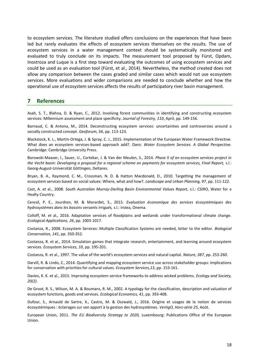to ecosystem services. The literature studied offers conclusions on the experiences that have been led but rarely evaluates the effects of ecosystem services themselves on the results. The use of ecosystem services in a water management context should be systematically monitored and evaluated to truly conclude on its impacts. The measurement tool proposed by Fürst, Opdam, Inostroza and Luque is a first step toward evaluating the outcomes of using ecosystem services and could be used as an evaluation tool (Fürst, et al., 2014). Nevertheless, the method created does not allow any comparison between the cases graded and similar cases which would not use ecosystem services. More evaluations and wider comparisons are needed to conclude whether and how the operational use of ecosystem services affects the results of participatory river basin management.

#### **7 References**

Asah, S. T., Blahna, D. & Ryan, C., 2012. Involving forest communities in identifying and constructing ecosystem services: Millennium assessment and place specificity. *Journal of Forestry, 110*, April, pp. 149-156.

Barnaud, C. & Antona, M., 2014. Deconstructing ecosystem services: uncertainties and controversies around a socially constructed concept. *Geoforum, 56*, pp. 113-123.

Blackstock, K. L., Martin-Ortega, J. & Spray, C. J., 2015. Implementation of the European Water Framework Directive. What does an ecosystem services-based approach add?. Dans: *Water Ecosystem Services. A Global Perspective.*  Cambridge: Cambridge University Press.

Borowski-Maaser, I., Sauer, U., Cortekar, J. & Van der Meulen, S., 2014. *Phase II of an ecosystem services project in*  the Vecht basin: Developing a proposal for a regional scheme on payments for ecosystem services, Final Report, s.l.: Georg-August-Universität Göttingen, Deltares.

Bryan, B. A., Raymond, C. M., Crossman, N. D. & Hatton Macdonald, D., 2010. Targetting the management of ecosystem services based on social values: Where, what and how?. *Landscape and Urban Planning, 97*, pp. 111-122.

Cast, A. et al., 2008. *South Australian Murray-Darling Basin Environmental Values Report,* s.l.: CSIRO, Water for a Healty Country.

Ceresil, P. E., Jourdren, M. & Morardet, S., 2015. *Evaluation économique des services écosystémiques des hydrosystèmes dans les bassins versants irrigués,* s.l.: Irstea, Onema.

Colloff, M. et al., 2016. Adaptation services of floodplains and wetlands under transformational climate change. *Ecological Applications, 26*, pp. 1003-1017.

Costanza, R., 2008. Ecosystem Services: Multiple Classification Systems are needed, letter to the editor. *Biological Conservation, 141*, pp. 350-352.

Costanza, R. et al., 2014. Simulation games that integrate research, entertainment, and learning around ecosystem services. *Ecosystem Services, 10*, pp. 195-201.

Costanza, R. et al., 1997. The value of the world's ecosystem services and natural capital. *Nature, 387*, pp. 253-260.

Darvill, R. & Lindo, Z., 2014. Quantifying and mapping ecosystem service use across stakeholder groups: Implications for conservation with priorities for cultural values. *Ecosystem Services,13*, pp. 153-161.

Davies, K. K. et al., 2015. Improving ecosystem service frameworks to address wicked problems. *Ecology and Society, 20(2)*.

De Groot, R. S., Wilson, M. A. & Boumans, R. M., 2002. A typology for the classification, description and valuation of ecosystem functions, goods and services. *Ecological Economics, 41*, pp. 393-408.

Dufour, S., Arnauld de Sartre, X., Castro, M. & Oszwald, J., 2016. Origine et usages de la notion de services écosystémiques : éclairages sur son apport à la gestion des hydrosystèmes. *VertigO, Hors-série 25*, Août.

European Union, 2011. *The EU Biodiversity Strategy to 2020,* Luxembourg: Publications Office of the European Union.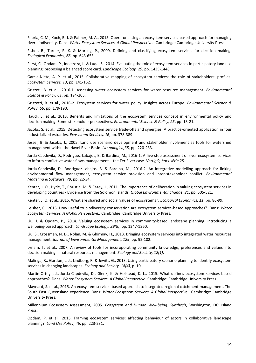Febria, C. M., Koch, B. J. & Palmer, M. A., 2015. Operatonalising an ecosystem services-based approach for managing river biodiversity. Dans: *Water Ecosystem Services. A Global Perspective..* Cambridge: Cambridge University Press.

Fisher, B., Turner, R. K. & Morling, P., 2009. Defining and classifying ecosystem services for decision making. *Ecological Economics, 68*, pp. 643-653.

Fürst, C., Opdam, P., Inostroza, L. & Luqe, S., 2014. Evaluating the role of ecosystem services in participatory land use planning: proposing a balanced score card. *Landscape Ecology, 29*, pp. 1435-1446.

Garcia-Nieto, A. P. et al., 2015. Collaborative mapping of ecosystem services: the role of stakeholders' profiles. *Ecosystem Services, 13*, pp. 141-152.

Grizzeti, B. et al., 2016-1. Assessing water ecosystem services for water resource management. *Environmental Science & Policy, 61*, pp. 194-203.

Grizzetti, B. et al., 2016-2. Ecosystem services for water policy: Insights across Europe. *Environmental Science & Policy, 66*, pp. 179-190.

Hauck, J. et al., 2013. Benefits and limitations of the ecosystem services concept in environmental policy and decision making: Some stakeholder perspectives. *Environmental Science & Policy, 25*, pp. 13-21.

Jacobs, S. et al., 2015. Detecting ecosystem service trade-offs and synergies: A practice-oriented application in four industrialized estuaries. *Ecosystem Services, 16*, pp. 378-389.

Jessel, B. & Jacobs, J., 2005. Land use scenario development and stakeholder involvment as tools for watershed management within the Havel River Basin. *Limnologica,35*, pp. 220-233.

Jorda-Capdevila, D., Rodriguez-Labajos, B. & Bardina, M., 2016-1. A five-step assessment of river ecosystem services to inform conflictive water-flows management – the Ter River case. *VertigO, hors-série 25*.

Jorda-Capdevila, D., Rodriguez-Labajos, B. & Bardina, M., 2016-2. An integrative modelling approach for linking environmental flow management, ecosystem service provision and inter-stakeholder conflict. *Environmental Modeling & Software, 79*, pp. 22-34.

Kenter, J. O., Hyde, T., Christie, M. & Fazey, I., 2011. The importance of deliberation in valuing ecosystem services in developing countries - Evidence from the Solomon Islands. *Global Environmental Change, 21*, pp. 505-521.

Kenter, J. O. et al., 2015. What are shared and social values of ecosystems?. *Ecological Economics, 11*, pp. 86-99.

Leisher, C., 2015. How useful to biodiversity conservation are ecosystem services-based approaches?. Dans: *Water Ecosystem Services. A Global Perspective..* Cambridge: Cambridge University Press.

Liu, J. & Opdam, P., 2014. Valuing ecosystem services in community-based landscape planning: introducing a wellbeing-based approach. *Landscape Ecology, 29(8)*, pp. 1347-1360.

Liu, S., Crossman, N. D., Nolan, M. & Ghirmay, H., 2013. Bringing ecosystem services into integrated water resources management. *Journal of Environmental Management, 129*, pp. 92-102.

Lynam, T. et al., 2007. A review of tools for incoroporating community knowledge, preferences and values into decision making in natural resources management. *Ecology and Society, 12(1)*.

Malinga, R., Gordon, L. J., Lindborg, R. & Jewitt, G., 2013. Using participatory scenario planning to identify ecosystem services in changing landscapes. *Ecology and Society, 18(4)*, p. 10.

Martin-Ortega, J., Jorda-Capdevila, D., Glenk, K. & Holstead, K. L., 2015. What defines ecosystem services-based approaches?. Dans: *Water Ecosystem Services. A Global Perspective.* Cambridge: Cambridge University Press.

Maynard, S. et al., 2015. An ecosystem services-based approach to integrated regional catchment management. The South East Queensland experience. Dans: *Water Ecosystem Services. A Global Perspective..* Cambridge: Cambridge University Press.

Millennium Ecosystem Assessment, 2005. *Ecosystem and Human Well-being: Synthesis,* Washington, DC: Island Press.

Opdam, P. et al., 2015. Framing ecosystem services: affecting behaviour of actors in collaborative landscape planning?. *Land Use Policy, 46*, pp. 223-231.